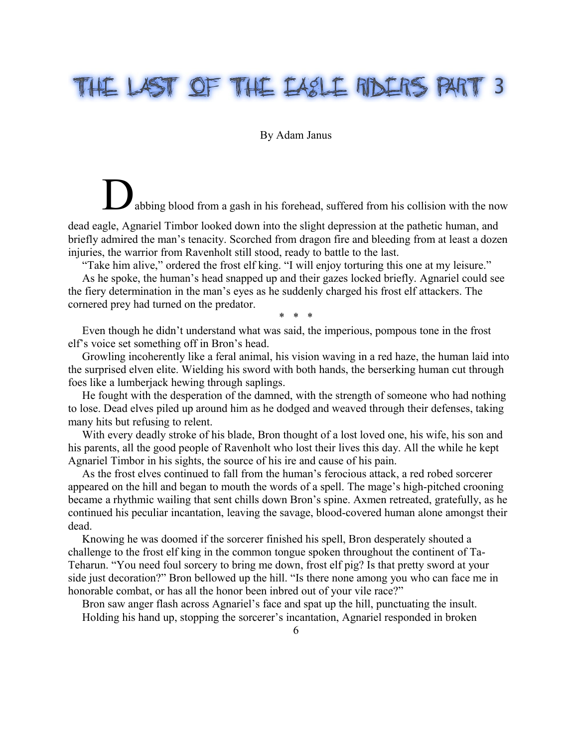## THE LAST OF THE EASLE RIDERS PART 3

## By Adam Janus

abbing blood from a gash in his forehead, suffered from his collision with the now

dead eagle, Agnariel Timbor looked down into the slight depression at the pathetic human, and briefly admired the man's tenacity. Scorched from dragon fire and bleeding from at least a dozen injuries, the warrior from Ravenholt still stood, ready to battle to the last.

"Take him alive," ordered the frost elf king. "I will enjoy torturing this one at my leisure."

As he spoke, the human's head snapped up and their gazes locked briefly. Agnariel could see the fiery determination in the man's eyes as he suddenly charged his frost elf attackers. The cornered prey had turned on the predator.

\* \* \*

Even though he didn't understand what was said, the imperious, pompous tone in the frost elf's voice set something off in Bron's head.

Growling incoherently like a feral animal, his vision waving in a red haze, the human laid into the surprised elven elite. Wielding his sword with both hands, the berserking human cut through foes like a lumberjack hewing through saplings.

He fought with the desperation of the damned, with the strength of someone who had nothing to lose. Dead elves piled up around him as he dodged and weaved through their defenses, taking many hits but refusing to relent.

With every deadly stroke of his blade, Bron thought of a lost loved one, his wife, his son and his parents, all the good people of Ravenholt who lost their lives this day. All the while he kept Agnariel Timbor in his sights, the source of his ire and cause of his pain.

As the frost elves continued to fall from the human's ferocious attack, a red robed sorcerer appeared on the hill and began to mouth the words of a spell. The mage's high-pitched crooning became a rhythmic wailing that sent chills down Bron's spine. Axmen retreated, gratefully, as he continued his peculiar incantation, leaving the savage, blood-covered human alone amongst their dead.

Knowing he was doomed if the sorcerer finished his spell, Bron desperately shouted a challenge to the frost elf king in the common tongue spoken throughout the continent of Ta-Teharun. "You need foul sorcery to bring me down, frost elf pig? Is that pretty sword at your side just decoration?" Bron bellowed up the hill. "Is there none among you who can face me in honorable combat, or has all the honor been inbred out of your vile race?"

Bron saw anger flash across Agnariel's face and spat up the hill, punctuating the insult. Holding his hand up, stopping the sorcerer's incantation, Agnariel responded in broken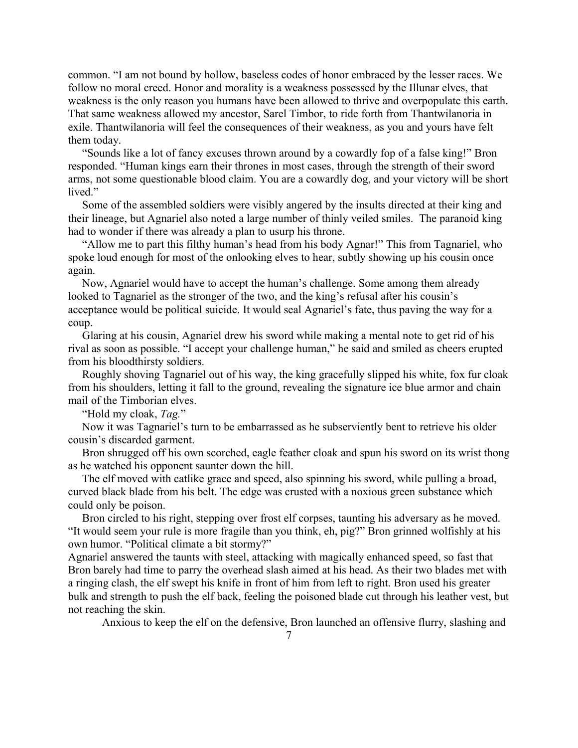common. "I am not bound by hollow, baseless codes of honor embraced by the lesser races. We follow no moral creed. Honor and morality is a weakness possessed by the Illunar elves, that weakness is the only reason you humans have been allowed to thrive and overpopulate this earth. That same weakness allowed my ancestor, Sarel Timbor, to ride forth from Thantwilanoria in exile. Thantwilanoria will feel the consequences of their weakness, as you and yours have felt them today.

"Sounds like a lot of fancy excuses thrown around by a cowardly fop of a false king!" Bron responded. "Human kings earn their thrones in most cases, through the strength of their sword arms, not some questionable blood claim. You are a cowardly dog, and your victory will be short lived."

Some of the assembled soldiers were visibly angered by the insults directed at their king and their lineage, but Agnariel also noted a large number of thinly veiled smiles. The paranoid king had to wonder if there was already a plan to usurp his throne.

"Allow me to part this filthy human's head from his body Agnar!" This from Tagnariel, who spoke loud enough for most of the onlooking elves to hear, subtly showing up his cousin once again.

Now, Agnariel would have to accept the human's challenge. Some among them already looked to Tagnariel as the stronger of the two, and the king's refusal after his cousin's acceptance would be political suicide. It would seal Agnariel's fate, thus paving the way for a coup.

Glaring at his cousin, Agnariel drew his sword while making a mental note to get rid of his rival as soon as possible. "I accept your challenge human," he said and smiled as cheers erupted from his bloodthirsty soldiers.

Roughly shoving Tagnariel out of his way, the king gracefully slipped his white, fox fur cloak from his shoulders, letting it fall to the ground, revealing the signature ice blue armor and chain mail of the Timborian elves.

"Hold my cloak, *Tag.*"

Now it was Tagnariel's turn to be embarrassed as he subserviently bent to retrieve his older cousin's discarded garment.

Bron shrugged off his own scorched, eagle feather cloak and spun his sword on its wrist thong as he watched his opponent saunter down the hill.

The elf moved with catlike grace and speed, also spinning his sword, while pulling a broad, curved black blade from his belt. The edge was crusted with a noxious green substance which could only be poison.

Bron circled to his right, stepping over frost elf corpses, taunting his adversary as he moved. "It would seem your rule is more fragile than you think, eh, pig?" Bron grinned wolfishly at his own humor. "Political climate a bit stormy?"

Agnariel answered the taunts with steel, attacking with magically enhanced speed, so fast that Bron barely had time to parry the overhead slash aimed at his head. As their two blades met with a ringing clash, the elf swept his knife in front of him from left to right. Bron used his greater bulk and strength to push the elf back, feeling the poisoned blade cut through his leather vest, but not reaching the skin.

Anxious to keep the elf on the defensive, Bron launched an offensive flurry, slashing and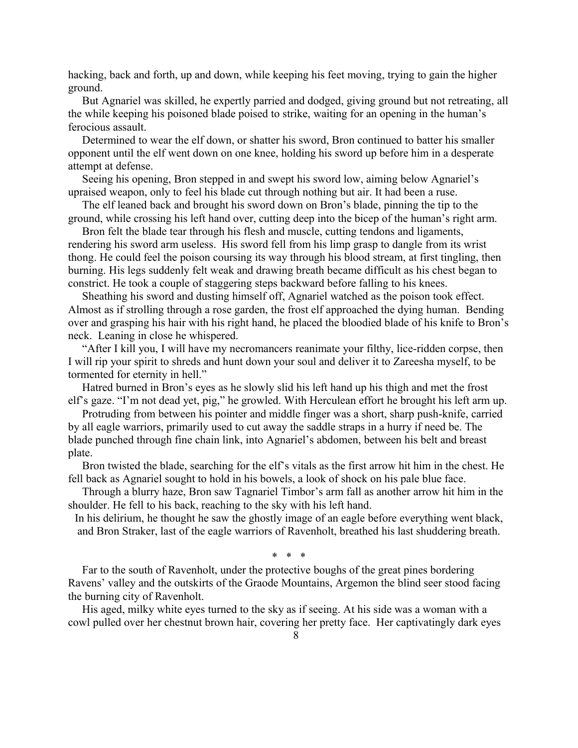hacking, back and forth, up and down, while keeping his feet moving, trying to gain the higher ground.

But Agnariel was skilled, he expertly parried and dodged, giving ground but not retreating, all the while keeping his poisoned blade poised to strike, waiting for an opening in the human's ferocious assault.

Determined to wear the elf down, or shatter his sword, Bron continued to batter his smaller opponent until the elf went down on one knee, holding his sword up before him in a desperate attempt at defense.

Seeing his opening, Bron stepped in and swept his sword low, aiming below Agnariel's upraised weapon, only to feel his blade cut through nothing but air. It had been a ruse.

The elf leaned back and brought his sword down on Bron's blade, pinning the tip to the ground, while crossing his left hand over, cutting deep into the bicep of the human's right arm.

Bron felt the blade tear through his flesh and muscle, cutting tendons and ligaments, rendering his sword arm useless. His sword fell from his limp grasp to dangle from its wrist thong. He could feel the poison coursing its way through his blood stream, at first tingling, then burning. His legs suddenly felt weak and drawing breath became difficult as his chest began to constrict. He took a couple of staggering steps backward before falling to his knees.

Sheathing his sword and dusting himself off, Agnariel watched as the poison took effect. Almost as if strolling through a rose garden, the frost elf approached the dying human. Bending over and grasping his hair with his right hand, he placed the bloodied blade of his knife to Bron's neck. Leaning in close he whispered.

"After I kill you, I will have my necromancers reanimate your filthy, lice-ridden corpse, then I will rip your spirit to shreds and hunt down your soul and deliver it to Zareesha myself, to be tormented for eternity in hell."

Hatred burned in Bron's eyes as he slowly slid his left hand up his thigh and met the frost elf's gaze. "I'm not dead yet, pig," he growled. With Herculean effort he brought his left arm up.

Protruding from between his pointer and middle finger was a short, sharp push-knife, carried by all eagle warriors, primarily used to cut away the saddle straps in a hurry if need be. The blade punched through fine chain link, into Agnariel's abdomen, between his belt and breast plate.

Bron twisted the blade, searching for the elf's vitals as the first arrow hit him in the chest. He fell back as Agnariel sought to hold in his bowels, a look of shock on his pale blue face.

Through a blurry haze, Bron saw Tagnariel Timbor's arm fall as another arrow hit him in the shoulder. He fell to his back, reaching to the sky with his left hand.

In his delirium, he thought he saw the ghostly image of an eagle before everything went black, and Bron Straker, last of the eagle warriors of Ravenholt, breathed his last shuddering breath.

\* \* \*

Far to the south of Ravenholt, under the protective boughs of the great pines bordering Ravens' valley and the outskirts of the Graode Mountains, Argemon the blind seer stood facing the burning city of Ravenholt.

His aged, milky white eyes turned to the sky as if seeing. At his side was a woman with a cowl pulled over her chestnut brown hair, covering her pretty face. Her captivatingly dark eyes